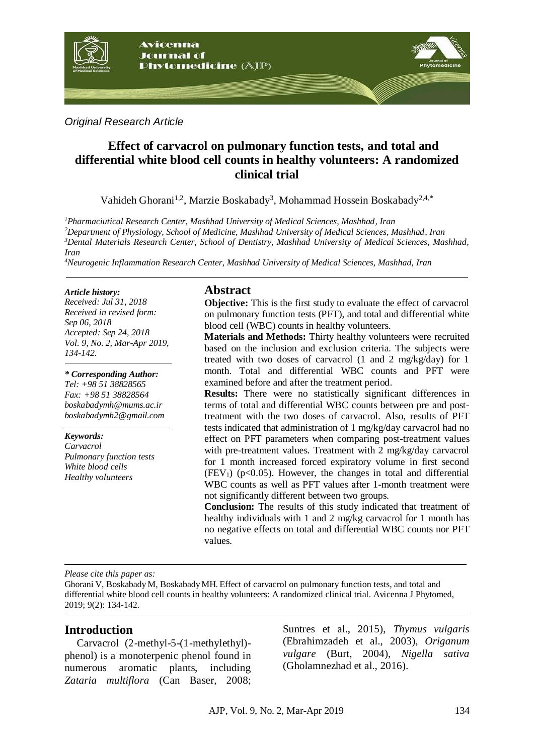

*Original Research Article*

# **Effect of carvacrol on pulmonary function tests, and total and differential white blood cell counts in healthy volunteers: A randomized clinical trial**

Vahideh Ghorani<sup>1,2</sup>, Marzie Boskabady<sup>3</sup>, Mohammad Hossein Boskabady<sup>2,4,\*</sup>

*Pharmaciutical Research Center, Mashhad University of Medical Sciences, Mashhad, Iran Department of Physiology, School of Medicine, Mashhad University of Medical Sciences, Mashhad, Iran Dental Materials Research Center, School of Dentistry, Mashhad University of Medical Sciences, Mashhad, Iran*

*<sup>4</sup>Neurogenic Inflammation Research Center, Mashhad University of Medical Sciences, Mashhad, Iran*

#### *Article history:*

*Received: Jul 31, 2018 Received in revised form: Sep 06, 2018 Accepted: Sep 24, 2018 Vol. 9, No. 2, Mar-Apr 2019, 134-142.*

#### *\* Corresponding Author:*

*Tel: +98 51 38828565 Fax: +98 51 38828564 [boskabadymh@mums.ac.ir](mailto:boskabadymh@mums.ac.ir) boskabadymh2@gmail.com*

#### *Keywords:*

*Carvacrol Pulmonary function tests White blood cells Healthy volunteers*

## **Abstract**

**Objective:** This is the first study to evaluate the effect of carvacrol on pulmonary function tests (PFT), and total and differential white blood cell (WBC) counts in healthy volunteers.

**Materials and Methods:** Thirty healthy volunteers were recruited based on the inclusion and exclusion criteria. The subjects were treated with two doses of carvacrol (1 and 2 mg/kg/day) for 1 month. Total and differential WBC counts and PFT were examined before and after the treatment period.

**Results:** There were no statistically significant differences in terms of total and differential WBC counts between pre and posttreatment with the two doses of carvacrol. Also, results of PFT tests indicated that administration of 1 mg/kg/day carvacrol had no effect on PFT parameters when comparing post-treatment values with pre-treatment values. Treatment with 2 mg/kg/day carvacrol for 1 month increased forced expiratory volume in first second  $(FEV<sub>1</sub>)$  (p<0.05). However, the changes in total and differential WBC counts as well as PFT values after 1-month treatment were not significantly different between two groups.

**Conclusion:** The results of this study indicated that treatment of healthy individuals with 1 and 2 mg/kg carvacrol for 1 month has no negative effects on total and differential WBC counts nor PFT values.

#### *Please cite this paper as:*

Ghorani V, BoskabadyM, BoskabadyMH. Effect of carvacrol on pulmonary function tests, and total and differential white blood cell counts in healthy volunteers: A randomized clinical trial. Avicenna J Phytomed, 2019; 9(2): 134-142.

## **Introduction**

Carvacrol (2-methyl-5-(1-methylethyl) phenol) is a monoterpenic phenol found in numerous aromatic plants, including *Zataria multiflora* (Can Baser, 2008; Suntres et al., 2015), *Thymus vulgaris* (Ebrahimzadeh et al., 2003), *Origanum vulgare* (Burt, 2004), *Nigella sativa* (Gholamnezhad et al., 2016).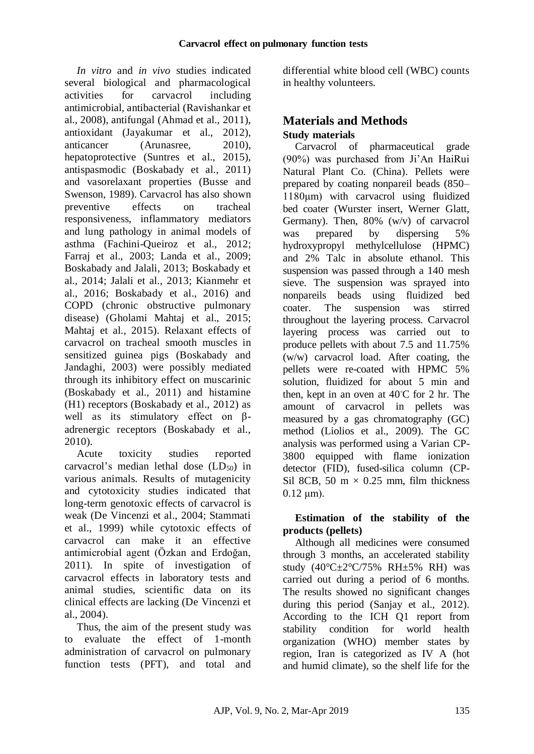*In vitro* and *in vivo* studies indicated several biological and pharmacological activities for carvacrol including antimicrobial, antibacterial (Ravishankar et al., 2008), antifungal (Ahmad et al., 2011), antioxidant (Jayakumar et al., 2012), anticancer (Arunasree, 2010), hepatoprotective (Suntres et al., 2015), antispasmodic (Boskabady et al., 2011) and vasorelaxant properties (Busse and Swenson, 1989). Carvacrol has also shown preventive effects on tracheal responsiveness, inflammatory mediators and lung pathology in animal models of asthma (Fachini-Queiroz et al., 2012; Farraj et al., 2003; Landa et al., 2009; Boskabady and Jalali, 2013; Boskabady et al., 2014; Jalali et al., 2013; Kianmehr et al., 2016; Boskabady et al., 2016) and COPD (chronic obstructive pulmonary disease) (Gholami Mahtaj et al., 2015; Mahtaj et al., 2015). Relaxant effects of carvacrol on tracheal smooth muscles in sensitized guinea pigs (Boskabady and Jandaghi, 2003) were possibly mediated through its inhibitory effect on muscarinic (Boskabady et al., 2011) and histamine (H1) receptors (Boskabady et al., 2012) as well as its stimulatory effect on βadrenergic receptors (Boskabady et al., 2010).

Acute toxicity studies reported carvacrol's median lethal dose  $(LD_{50})$  in various animals. Results of mutagenicity and cytotoxicity studies indicated that long-term genotoxic effects of carvacrol is weak (De Vincenzi et al., 2004; Stammati et al., 1999) while cytotoxic effects of carvacrol can make it an effective antimicrobial agent (Özkan and Erdoğan, 2011). In spite of investigation of carvacrol effects in laboratory tests and animal studies, scientific data on its clinical effects are lacking (De Vincenzi et al., 2004).

Thus, the aim of the present study was to evaluate the effect of 1-month administration of carvacrol on pulmonary function tests (PFT), and total and differential white blood cell (WBC) counts in healthy volunteers.

# **Materials and Methods Study materials**

Carvacrol of pharmaceutical grade (90%) was purchased from Ji'An HaiRui Natural Plant Co. (China). Pellets were prepared by coating nonpareil beads (850– 1180μm) with carvacrol using fluidized bed coater (Wurster insert, Werner Glatt, Germany). Then,  $80\%$  (w/v) of carvacrol was prepared by dispersing 5% hydroxypropyl methylcellulose (HPMC) and 2% Talc in absolute ethanol. This suspension was passed through a 140 mesh sieve. The suspension was sprayed into nonpareils beads using fluidized bed coater. The suspension was stirred throughout the layering process. Carvacrol layering process was carried out to produce pellets with about 7.5 and 11.75% (w/w) carvacrol load. After coating, the pellets were re-coated with HPMC 5% solution, fluidized for about 5 min and then, kept in an oven at  $40^{\circ}$ C for 2 hr. The amount of carvacrol in pellets was measured by a gas chromatography (GC) method (Liolios et al., 2009). The GC analysis was performed using a Varian CP-3800 equipped with flame ionization detector (FID), fused-silica column (CP-Sil 8CB, 50 m  $\times$  0.25 mm, film thickness  $0.12 \mu m$ ).

## **Estimation of the stability of the products (pellets)**

Although all medicines were consumed through 3 months, an accelerated stability study  $(40^{\circ}C \pm 2^{\circ}C/75\% \text{ RH} \pm 5\% \text{ RH})$  was carried out during a period of 6 months. The results showed no significant changes during this period (Sanjay et al., 2012). According to the ICH Q1 report from stability condition for world health organization (WHO) member states by region, Iran is categorized as IV A (hot and humid climate), so the shelf life for the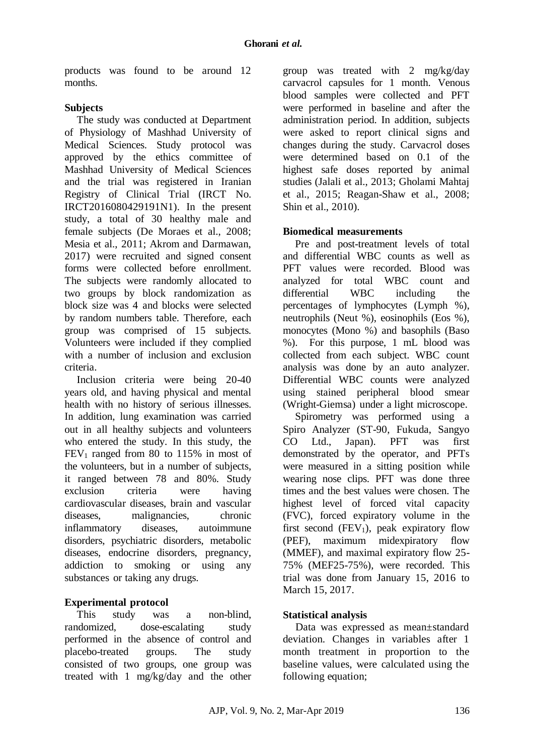products was found to be around 12 months.

## **Subjects**

The study was conducted at Department of Physiology of Mashhad University of Medical Sciences. Study protocol was approved by the ethics committee of Mashhad University of Medical Sciences and the trial was registered in Iranian Registry of Clinical Trial (IRCT No. IRCT2016080429191N1). In the present study, a total of 30 healthy male and female subjects (De Moraes et al., 2008; Mesia et al., 2011; Akrom and Darmawan, 2017) were recruited and signed consent forms were collected before enrollment. The subjects were randomly allocated to two groups by block randomization as block size was 4 and blocks were selected by random numbers table. Therefore, each group was comprised of 15 subjects. Volunteers were included if they complied with a number of inclusion and exclusion criteria.

Inclusion criteria were being 20-40 years old, and having physical and mental health with no history of serious illnesses. In addition, lung examination was carried out in all healthy subjects and volunteers who entered the study. In this study, the  $FEV<sub>1</sub>$  ranged from 80 to 115% in most of the volunteers, but in a number of subjects, it ranged between 78 and 80%. Study exclusion criteria were having cardiovascular diseases, brain and vascular diseases, malignancies, chronic inflammatory diseases, autoimmune disorders, psychiatric disorders, metabolic diseases, endocrine disorders, pregnancy, addiction to smoking or using any substances or taking any drugs.

# **Experimental protocol**

This study was a non-blind, randomized, dose-escalating study performed in the absence of control and placebo-treated groups. The study consisted of two groups, one group was treated with 1 mg/kg/day and the other

group was treated with 2 mg/kg/day carvacrol capsules for 1 month. Venous blood samples were collected and PFT were performed in baseline and after the administration period. In addition, subjects were asked to report clinical signs and changes during the study. Carvacrol doses were determined based on 0.1 of the highest safe doses reported by animal studies (Jalali et al., 2013; Gholami Mahtaj et al., 2015; Reagan-Shaw et al., 2008; Shin et al., 2010).

## **Biomedical measurements**

Pre and post-treatment levels of total and differential WBC counts as well as PFT values were recorded. Blood was analyzed for total WBC count and differential WBC including the percentages of lymphocytes (Lymph %), neutrophils (Neut %), eosinophils (Eos %), monocytes (Mono %) and basophils (Baso %). For this purpose, 1 mL blood was collected from each subject. WBC count analysis was done by an auto analyzer. Differential WBC counts were analyzed using stained peripheral blood smear (Wright-Giemsa) under a light microscope.

Spirometry was performed using a Spiro Analyzer (ST-90, Fukuda, Sangyo CO Ltd., Japan). PFT was first demonstrated by the operator, and PFTs were measured in a sitting position while wearing nose clips. PFT was done three times and the best values were chosen. The highest level of forced vital capacity (FVC), forced expiratory volume in the first second  $(FEV<sub>1</sub>)$ , peak expiratory flow (PEF), maximum midexpiratory flow (MMEF), and maximal expiratory flow 25- 75% (MEF25-75%), were recorded. This trial was done from January 15, 2016 to March 15, 2017.

## **Statistical analysis**

Data was expressed as mean±standard deviation. Changes in variables after 1 month treatment in proportion to the baseline values, were calculated using the following equation;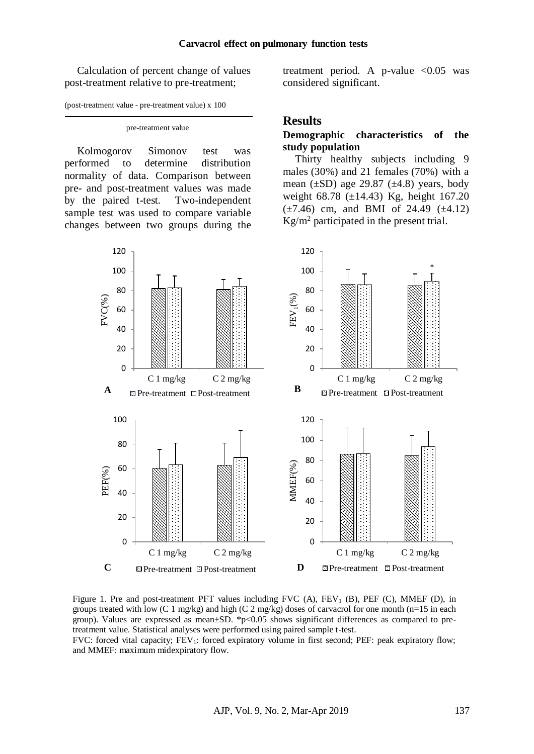Calculation of percent change of values post-treatment relative to pre-treatment;

(post-treatment value - pre-treatment value) x 100

#### pre-treatment value

Kolmogorov Simonov test was performed to determine distribution normality of data. Comparison between pre- and post-treatment values was made by the paired t-test. Two-independent sample test was used to compare variable changes between two groups during the treatment period. A p-value  $< 0.05$  was considered significant.

#### **Results**

### **Demographic characteristics of the study population**

Thirty healthy subjects including 9 males (30%) and 21 females (70%) with a mean  $(\pm SD)$  age 29.87  $(\pm 4.8)$  years, body weight 68.78 (±14.43) Kg, height 167.20  $(\pm 7.46)$  cm, and BMI of 24.49  $(\pm 4.12)$  $Kg/m<sup>2</sup>$  participated in the present trial.



Figure 1. Pre and post-treatment PFT values including FVC (A),  $FEV_1$  (B), PEF (C), MMEF (D), in groups treated with low (C 1 mg/kg) and high (C 2 mg/kg) doses of carvacrol for one month (n=15 in each group). Values are expressed as mean $\pm$ SD. \*p<0.05 shows significant differences as compared to pretreatment value. Statistical analyses were performed using paired sample t-test.

FVC: forced vital capacity; FEV<sub>1</sub>: forced expiratory volume in first second; PEF: peak expiratory flow; and MMEF: maximum midexpiratory flow.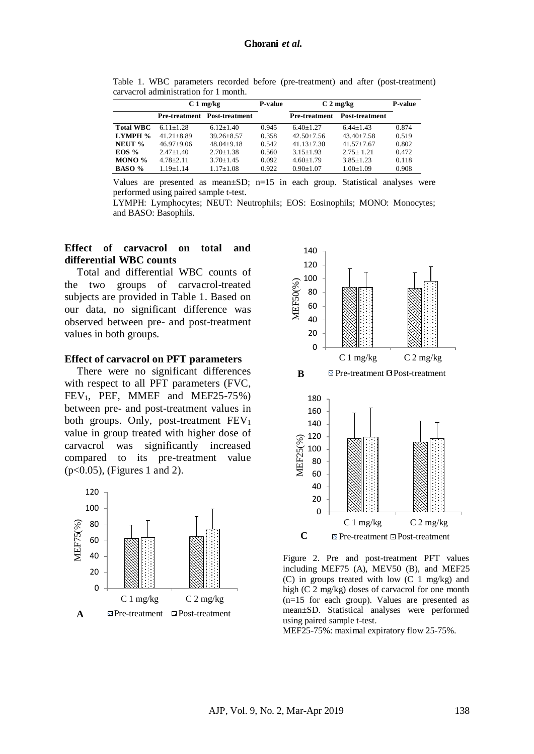|                  | $C1$ mg/kg     |                                     | <b>P-value</b> | $C2$ mg/kg           |                 | <b>P-value</b> |
|------------------|----------------|-------------------------------------|----------------|----------------------|-----------------|----------------|
|                  |                | <b>Pre-treatment</b> Post-treatment |                | <b>Pre-treatment</b> | Post-treatment  |                |
| <b>Total WBC</b> | $6.11 + 1.28$  | $6.12+1.40$                         | 0.945          | $6.40+1.27$          | $6.44 + 1.43$   | 0.874          |
| LYMPH %          | $41.21 + 8.89$ | $39.26 + 8.57$                      | 0.358          | $42.50 + 7.56$       | $43.40 + 7.58$  | 0.519          |
| NEUT %           | $46.97+9.06$   | $48.04+9.18$                        | 0.542          | $41.13 + 7.30$       | $41.57 + 7.67$  | 0.802          |
| EOS %            | $2.47 + 1.40$  | $2.70 + 1.38$                       | 0.560          | $3.15 + 1.93$        | $2.75 + 1.21$   | 0.472          |
| MONO %           | $4.78 + 2.11$  | $3.70 + 1.45$                       | 0.092          | $4.60+1.79$          | $3.85 + 1.23$   | 0.118          |
| BASO %           | $1.19 + 1.14$  | $1.17 + 1.08$                       | 0.922          | $0.90 + 1.07$        | $1.00 \pm 1.09$ | 0.908          |

Table 1. WBC parameters recorded before (pre-treatment) and after (post-treatment) carvacrol administration for 1 month.

Values are presented as mean±SD; n=15 in each group. Statistical analyses were performed using paired sample t-test.

LYMPH: Lymphocytes; NEUT: Neutrophils; EOS: Eosinophils; MONO: Monocytes; and BASO: Basophils.

### **Effect of carvacrol on total and differential WBC counts**

Total and differential WBC counts of the two groups of carvacrol-treated subjects are provided in Table 1. Based on our data, no significant difference was observed between pre- and post-treatment values in both groups.

#### **Effect of carvacrol on PFT parameters**

There were no significant differences with respect to all PFT parameters (FVC, FEV<sub>1</sub>, PEF, MMEF and MEF25-75%) between pre- and post-treatment values in both groups. Only, post-treatment FEV<sub>1</sub> value in group treated with higher dose of carvacrol was significantly increased compared to its pre-treatment value (p<0.05), (Figures 1 and 2).





Figure 2. Pre and post-treatment PFT values including MEF75 (A), MEV50 (B), and MEF25 (C) in groups treated with low (C 1 mg/kg) and high (C 2 mg/kg) doses of carvacrol for one month (n=15 for each group). Values are presented as mean±SD. Statistical analyses were performed using paired sample t-test.

MEF25-75%: maximal expiratory flow 25-75%.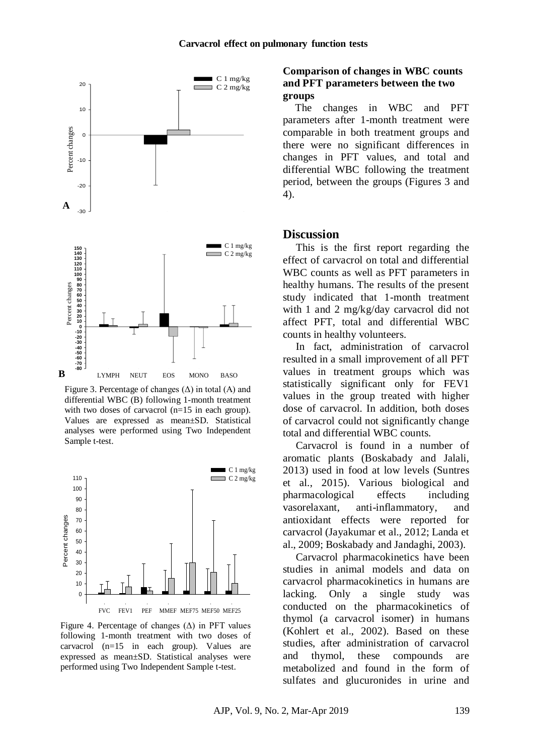

Figure 3. Percentage of changes  $(\Delta)$  in total  $(A)$  and differential WBC (B) following 1-month treatment with two doses of carvacrol (n=15 in each group). Values are expressed as mean±SD. Statistical analyses were performed using Two Independent Sample t-test.



Figure 4. Percentage of changes  $(\Delta)$  in PFT values following 1-month treatment with two doses of carvacrol (n=15 in each group). Values are expressed as mean±SD. Statistical analyses were performed using Two Independent Sample t-test.

## **Comparison of changes in WBC counts and PFT parameters between the two groups**

The changes in WBC and PFT parameters after 1-month treatment were comparable in both treatment groups and there were no significant differences in changes in PFT values, and total and differential WBC following the treatment period, between the groups (Figures 3 and 4).

#### **Discussion**

This is the first report regarding the effect of carvacrol on total and differential WBC counts as well as PFT parameters in healthy humans. The results of the present study indicated that 1-month treatment with 1 and 2 mg/kg/day carvacrol did not affect PFT, total and differential WBC counts in healthy volunteers.

In fact, administration of carvacrol resulted in a small improvement of all PFT values in treatment groups which was statistically significant only for FEV1 values in the group treated with higher dose of carvacrol. In addition, both doses of carvacrol could not significantly change total and differential WBC counts.

Carvacrol is found in a number of aromatic plants (Boskabady and Jalali, 2013) used in food at low levels (Suntres et al., 2015). Various biological and pharmacological effects including vasorelaxant, anti-inflammatory, and antioxidant effects were reported for carvacrol (Jayakumar et al., 2012; Landa et al., 2009; Boskabady and Jandaghi, 2003).

Carvacrol pharmacokinetics have been studies in animal models and data on carvacrol pharmacokinetics in humans are lacking. Only a single study was conducted on the pharmacokinetics of thymol (a carvacrol isomer) in humans (Kohlert et al., 2002). Based on these studies, after administration of carvacrol and thymol, these compounds are metabolized and found in the form of sulfates and glucuronides in urine and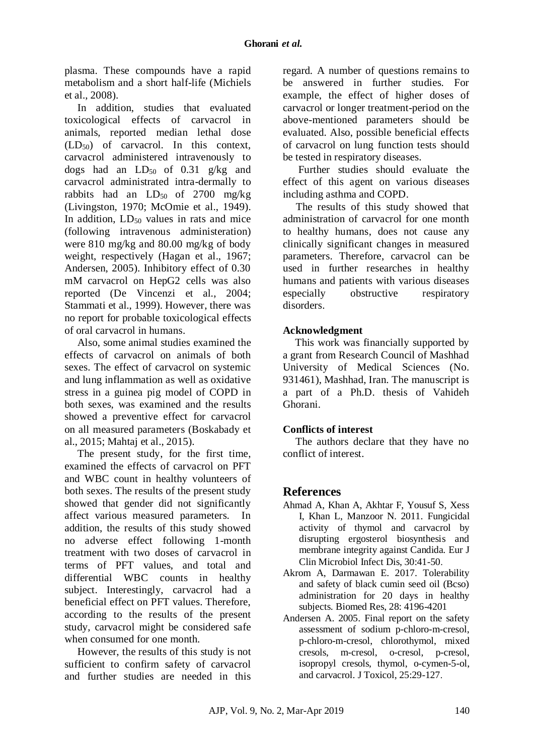plasma. These compounds have a rapid metabolism and a short half-life (Michiels et al., 2008).

In addition, studies that evaluated toxicological effects of carvacrol in animals, reported median lethal dose  $(LD_{50})$  of carvacrol. In this context, carvacrol administered intravenously to dogs had an  $LD_{50}$  of 0.31 g/kg and carvacrol administrated intra-dermally to rabbits had an  $LD_{50}$  of 2700 mg/kg (Livingston, 1970; McOmie et al., 1949). In addition,  $LD_{50}$  values in rats and mice (following intravenous administeration) were 810 mg/kg and 80.00 mg/kg of body weight, respectively (Hagan et al., 1967; Andersen, 2005). Inhibitory effect of 0.30 mM carvacrol on HepG2 cells was also reported (De Vincenzi et al., 2004; Stammati et al., 1999). However, there was no report for probable toxicological effects of oral carvacrol in humans.

Also, some animal studies examined the effects of carvacrol on animals of both sexes. The effect of carvacrol on systemic and lung inflammation as well as oxidative stress in a guinea pig model of COPD in both sexes, was examined and the results showed a preventive effect for carvacrol on all measured parameters (Boskabady et al., 2015; Mahtaj et al., 2015).

The present study, for the first time, examined the effects of carvacrol on PFT and WBC count in healthy volunteers of both sexes. The results of the present study showed that gender did not significantly affect various measured parameters. In addition, the results of this study showed no adverse effect following 1-month treatment with two doses of carvacrol in terms of PFT values, and total and differential WBC counts in healthy subject. Interestingly, carvacrol had a beneficial effect on PFT values. Therefore, according to the results of the present study, carvacrol might be considered safe when consumed for one month.

However, the results of this study is not sufficient to confirm safety of carvacrol and further studies are needed in this

regard. A number of questions remains to be answered in further studies. For example, the effect of higher doses of carvacrol or longer treatment-period on the above-mentioned parameters should be evaluated. Also, possible beneficial effects of carvacrol on lung function tests should be tested in respiratory diseases.

Further studies should evaluate the effect of this agent on various diseases including asthma and COPD.

The results of this study showed that administration of carvacrol for one month to healthy humans, does not cause any clinically significant changes in measured parameters. Therefore, carvacrol can be used in further researches in healthy humans and patients with various diseases especially obstructive respiratory disorders.

## **Acknowledgment**

This work was financially supported by a grant from Research Council of Mashhad University of Medical Sciences (No. 931461), Mashhad, Iran. The manuscript is a part of a Ph.D. thesis of Vahideh Ghorani.

## **Conflicts of interest**

The authors declare that they have no conflict of interest.

# **References**

- Ahmad A, Khan A, Akhtar F, Yousuf S, Xess I, Khan L, Manzoor N. 2011. Fungicidal activity of thymol and carvacrol by disrupting ergosterol biosynthesis and membrane integrity against Candida. Eur J Clin Microbiol Infect Dis, 30:41-50.
- Akrom A, Darmawan E. 2017. Tolerability and safety of black cumin seed oil (Bcso) administration for 20 days in healthy subjects. Biomed Res, 28: 4196-4201
- Andersen A. 2005. Final report on the safety assessment of sodium p-chloro-m-cresol, p-chloro-m-cresol, chlorothymol, mixed cresols, m-cresol, o-cresol, p-cresol, isopropyl cresols, thymol, o-cymen-5-ol, and carvacrol. J Toxicol, 25:29-127.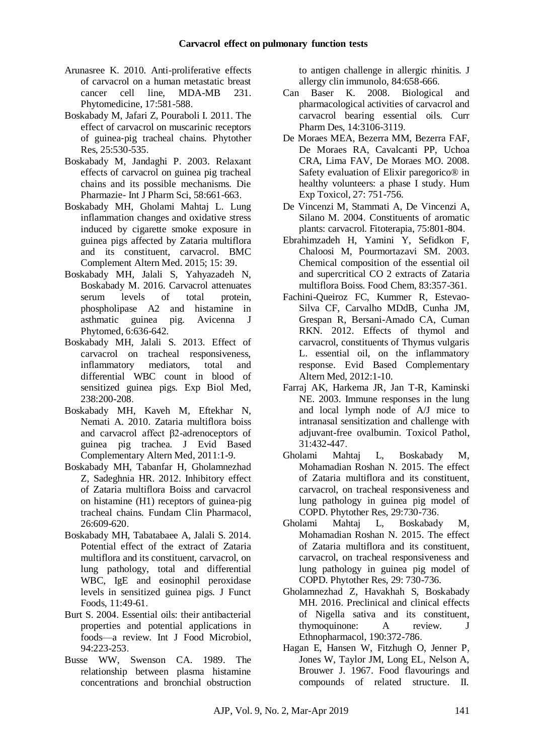- Arunasree K. 2010. Anti-proliferative effects of carvacrol on a human metastatic breast<br>cancer cell line. MDA-MB 231. cancer cell line, MDA-MB 231. Phytomedicine, 17:581-588.
- Boskabady M, Jafari Z, Pouraboli I. 2011. The effect of carvacrol on muscarinic receptors of guinea‐pig tracheal chains. Phytother Res, 25:530-535.
- Boskabady M, Jandaghi P. 2003. Relaxant effects of carvacrol on guinea pig tracheal chains and its possible mechanisms. Die Pharmazie- Int J Pharm Sci, 58:661-663.
- Boskabady MH, Gholami Mahtaj L. Lung inflammation changes and oxidative stress induced by cigarette smoke exposure in guinea pigs affected by Zataria multiflora and its constituent, carvacrol. BMC Complement Altern Med. 2015; 15: 39.
- Boskabady MH, Jalali S, Yahyazadeh N, Boskabady M. 2016. Carvacrol attenuates serum levels of total protein, phospholipase A2 and histamine in asthmatic guinea pig. Avicenna J Phytomed, 6:636-642.
- Boskabady MH, Jalali S. 2013. Effect of carvacrol on tracheal responsiveness, inflammatory mediators, total and differential WBC count in blood of sensitized guinea pigs. Exp Biol Med, 238:200-208.
- Boskabady MH, Kaveh M, Eftekhar N, Nemati A. 2010. Zataria multiflora boiss and carvacrol affect β2-adrenoceptors of guinea pig trachea. J Evid Based Complementary Altern Med, 2011:1-9.
- Boskabady MH, Tabanfar H, Gholamnezhad Z, Sadeghnia HR. 2012. Inhibitory effect of Zataria multiflora Boiss and carvacrol on histamine (H1) receptors of guinea‐pig tracheal chains. Fundam Clin Pharmacol, 26:609-620.
- Boskabady MH, Tabatabaee A, Jalali S. 2014. Potential effect of the extract of Zataria multiflora and its constituent, carvacrol, on lung pathology, total and differential WBC, IgE and eosinophil peroxidase levels in sensitized guinea pigs. J Funct Foods, 11:49-61.
- Burt S. 2004. Essential oils: their antibacterial properties and potential applications in foods—a review. Int J Food Microbiol, 94:223-253.
- Busse WW, Swenson CA. 1989. The relationship between plasma histamine concentrations and bronchial obstruction

to antigen challenge in allergic rhinitis. J allergy clin immunolo, 84:658-666.<br>a Baser K. 2008. Biological

- Can Baser K. 2008. Biological and pharmacological activities of carvacrol and carvacrol bearing essential oils. Curr Pharm Des, 14:3106-3119.
- De Moraes MEA, Bezerra MM, Bezerra FAF, De Moraes RA, Cavalcanti PP, Uchoa CRA, Lima FAV, De Moraes MO. 2008. Safety evaluation of Elixir paregorico® in healthy volunteers: a phase I study. Hum Exp Toxicol, 27: 751-756.
- De Vincenzi M, Stammati A, De Vincenzi A, Silano M. 2004. Constituents of aromatic plants: carvacrol. Fitoterapia, 75:801-804.
- Ebrahimzadeh H, Yamini Y, Sefidkon F, Chaloosi M, Pourmortazavi SM. 2003. Chemical composition of the essential oil and supercritical CO 2 extracts of Zataria multiflora Boiss. Food Chem, 83:357-361.
- Fachini-Queiroz FC, Kummer R, Estevao-Silva CF, Carvalho MDdB, Cunha JM, Grespan R, Bersani-Amado CA, Cuman RKN. 2012. Effects of thymol and carvacrol, constituents of Thymus vulgaris L. essential oil, on the inflammatory response. Evid Based Complementary Altern Med, 2012:1-10.
- Farraj AK, Harkema JR, Jan T-R, Kaminski NE. 2003. Immune responses in the lung and local lymph node of A/J mice to intranasal sensitization and challenge with adjuvant-free ovalbumin. Toxicol Pathol, 31:432-447.
- Gholami Mahtaj L, Boskabady M, Mohamadian Roshan N. 2015. The effect of Zataria multiflora and its constituent, carvacrol, on tracheal responsiveness and lung pathology in guinea pig model of COPD. Phytother Res, 29:730-736.
- Gholami Mahtaj L, Boskabady M, Mohamadian Roshan N. 2015. The effect of Zataria multiflora and its constituent, carvacrol, on tracheal responsiveness and lung pathology in guinea pig model of COPD. Phytother Res, 29: 730-736.
- Gholamnezhad Z, Havakhah S, Boskabady MH. 2016. Preclinical and clinical effects of Nigella sativa and its constituent, thymoquinone: A review. J Ethnopharmacol, 190:372-786.
- Hagan E, Hansen W, Fitzhugh O, Jenner P, Jones W, Taylor JM, Long EL, Nelson A, Brouwer J. 1967. Food flavourings and compounds of related structure. II.